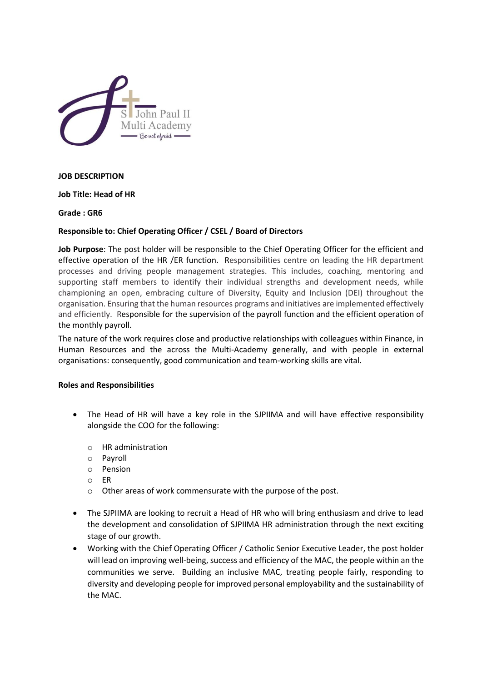

#### **JOB DESCRIPTION**

**Job Title: Head of HR**

**Grade : GR6**

#### **Responsible to: Chief Operating Officer / CSEL / Board of Directors**

**Job Purpose**: The post holder will be responsible to the Chief Operating Officer for the efficient and effective operation of the HR /ER function. Responsibilities centre on leading the HR department processes and driving people management strategies. This includes, coaching, mentoring and supporting staff members to identify their individual strengths and development needs, while championing an open, embracing culture of Diversity, Equity and Inclusion (DEI) throughout the organisation. Ensuring that the human resources programs and initiatives are implemented effectively and efficiently. Responsible for the supervision of the payroll function and the efficient operation of the monthly payroll.

The nature of the work requires close and productive relationships with colleagues within Finance, in Human Resources and the across the Multi-Academy generally, and with people in external organisations: consequently, good communication and team-working skills are vital.

#### **Roles and Responsibilities**

- The Head of HR will have a key role in the SJPIIMA and will have effective responsibility alongside the COO for the following:
	- o HR administration
	- o Payroll
	- o Pension
	- o ER
	- o Other areas of work commensurate with the purpose of the post.
- The SJPIIMA are looking to recruit a Head of HR who will bring enthusiasm and drive to lead the development and consolidation of SJPIIMA HR administration through the next exciting stage of our growth.
- Working with the Chief Operating Officer / Catholic Senior Executive Leader, the post holder will lead on improving well-being, success and efficiency of the MAC, the people within an the communities we serve. Building an inclusive MAC, treating people fairly, responding to diversity and developing people for improved personal employability and the sustainability of the MAC.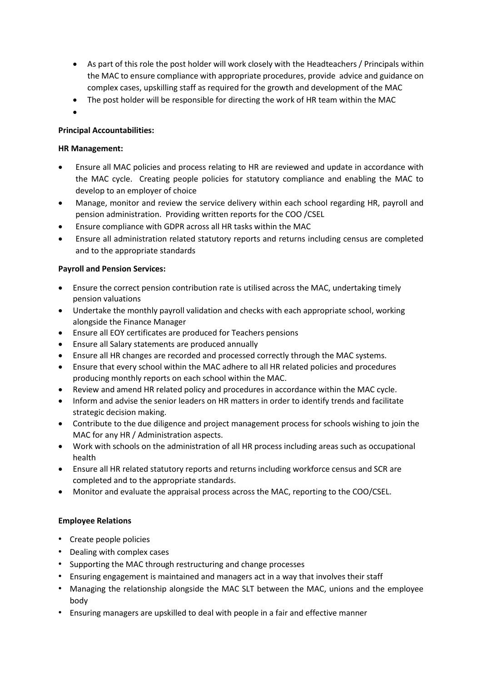- As part of this role the post holder will work closely with the Headteachers / Principals within the MAC to ensure compliance with appropriate procedures, provide advice and guidance on complex cases, upskilling staff as required for the growth and development of the MAC
- The post holder will be responsible for directing the work of HR team within the MAC
- $\bullet$

# **Principal Accountabilities:**

### **HR Management:**

- Ensure all MAC policies and process relating to HR are reviewed and update in accordance with the MAC cycle. Creating people policies for statutory compliance and enabling the MAC to develop to an employer of choice
- Manage, monitor and review the service delivery within each school regarding HR, payroll and pension administration. Providing written reports for the COO /CSEL
- Ensure compliance with GDPR across all HR tasks within the MAC
- Ensure all administration related statutory reports and returns including census are completed and to the appropriate standards

### **Payroll and Pension Services:**

- Ensure the correct pension contribution rate is utilised across the MAC, undertaking timely pension valuations
- Undertake the monthly payroll validation and checks with each appropriate school, working alongside the Finance Manager
- Ensure all EOY certificates are produced for Teachers pensions
- Ensure all Salary statements are produced annually
- Ensure all HR changes are recorded and processed correctly through the MAC systems.
- Ensure that every school within the MAC adhere to all HR related policies and procedures producing monthly reports on each school within the MAC.
- Review and amend HR related policy and procedures in accordance within the MAC cycle.
- Inform and advise the senior leaders on HR matters in order to identify trends and facilitate strategic decision making.
- Contribute to the due diligence and project management process for schools wishing to join the MAC for any HR / Administration aspects.
- Work with schools on the administration of all HR process including areas such as occupational health
- Ensure all HR related statutory reports and returns including workforce census and SCR are completed and to the appropriate standards.
- Monitor and evaluate the appraisal process across the MAC, reporting to the COO/CSEL.

# **Employee Relations**

- Create people policies
- Dealing with complex cases
- Supporting the MAC through restructuring and change processes
- Ensuring engagement is maintained and managers act in a way that involves their staff
- Managing the relationship alongside the MAC SLT between the MAC, unions and the employee body
- Ensuring managers are upskilled to deal with people in a fair and effective manner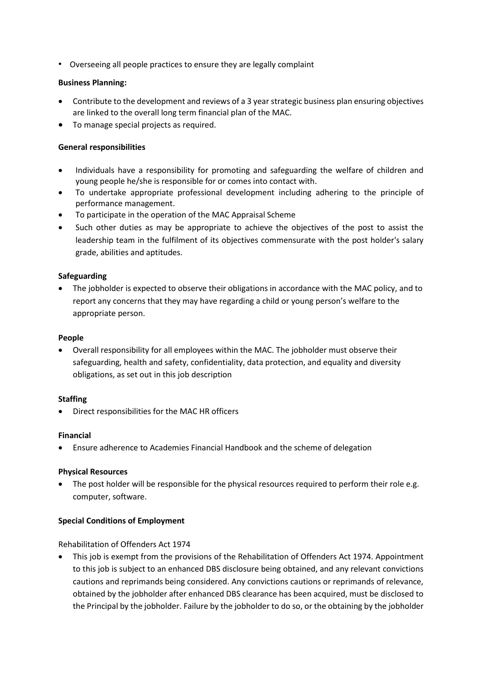• Overseeing all people practices to ensure they are legally complaint

### **Business Planning:**

- Contribute to the development and reviews of a 3 year strategic business plan ensuring objectives are linked to the overall long term financial plan of the MAC.
- To manage special projects as required.

### **General responsibilities**

- Individuals have a responsibility for promoting and safeguarding the welfare of children and young people he/she is responsible for or comes into contact with.
- To undertake appropriate professional development including adhering to the principle of performance management.
- To participate in the operation of the MAC Appraisal Scheme
- Such other duties as may be appropriate to achieve the objectives of the post to assist the leadership team in the fulfilment of its objectives commensurate with the post holder's salary grade, abilities and aptitudes.

### **Safeguarding**

 The jobholder is expected to observe their obligations in accordance with the MAC policy, and to report any concerns that they may have regarding a child or young person's welfare to the appropriate person.

#### **People**

 Overall responsibility for all employees within the MAC. The jobholder must observe their safeguarding, health and safety, confidentiality, data protection, and equality and diversity obligations, as set out in this job description

#### **Staffing**

Direct responsibilities for the MAC HR officers

#### **Financial**

Ensure adherence to Academies Financial Handbook and the scheme of delegation

#### **Physical Resources**

• The post holder will be responsible for the physical resources required to perform their role e.g. computer, software.

#### **Special Conditions of Employment**

#### Rehabilitation of Offenders Act 1974

 This job is exempt from the provisions of the Rehabilitation of Offenders Act 1974. Appointment to this job is subject to an enhanced DBS disclosure being obtained, and any relevant convictions cautions and reprimands being considered. Any convictions cautions or reprimands of relevance, obtained by the jobholder after enhanced DBS clearance has been acquired, must be disclosed to the Principal by the jobholder. Failure by the jobholder to do so, or the obtaining by the jobholder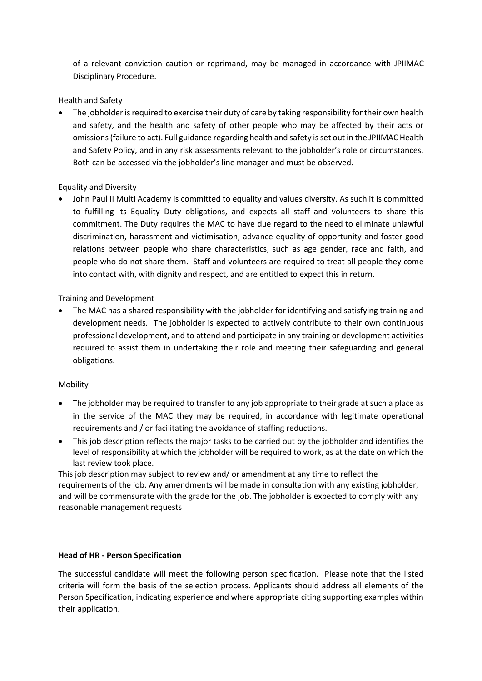of a relevant conviction caution or reprimand, may be managed in accordance with JPIIMAC Disciplinary Procedure.

## Health and Safety

 The jobholder is required to exercise their duty of care by taking responsibility for their own health and safety, and the health and safety of other people who may be affected by their acts or omissions (failure to act). Full guidance regarding health and safety is set out in the JPIIMAC Health and Safety Policy, and in any risk assessments relevant to the jobholder's role or circumstances. Both can be accessed via the jobholder's line manager and must be observed.

# Equality and Diversity

 John Paul II Multi Academy is committed to equality and values diversity. As such it is committed to fulfilling its Equality Duty obligations, and expects all staff and volunteers to share this commitment. The Duty requires the MAC to have due regard to the need to eliminate unlawful discrimination, harassment and victimisation, advance equality of opportunity and foster good relations between people who share characteristics, such as age gender, race and faith, and people who do not share them. Staff and volunteers are required to treat all people they come into contact with, with dignity and respect, and are entitled to expect this in return.

# Training and Development

 The MAC has a shared responsibility with the jobholder for identifying and satisfying training and development needs. The jobholder is expected to actively contribute to their own continuous professional development, and to attend and participate in any training or development activities required to assist them in undertaking their role and meeting their safeguarding and general obligations.

#### Mobility

- The jobholder may be required to transfer to any job appropriate to their grade at such a place as in the service of the MAC they may be required, in accordance with legitimate operational requirements and / or facilitating the avoidance of staffing reductions.
- This job description reflects the major tasks to be carried out by the jobholder and identifies the level of responsibility at which the jobholder will be required to work, as at the date on which the last review took place.

This job description may subject to review and/ or amendment at any time to reflect the requirements of the job. Any amendments will be made in consultation with any existing jobholder, and will be commensurate with the grade for the job. The jobholder is expected to comply with any reasonable management requests

# **Head of HR - Person Specification**

The successful candidate will meet the following person specification. Please note that the listed criteria will form the basis of the selection process. Applicants should address all elements of the Person Specification, indicating experience and where appropriate citing supporting examples within their application.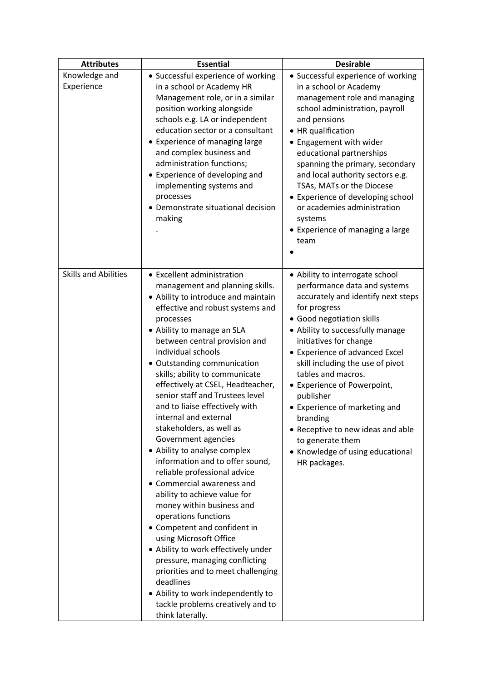| <b>Attributes</b>           | <b>Essential</b>                                                                                                                                                                                                                                                                                                                                                                                                                                                                                                                                                                                                                                                                                                                                                                                                                                                                                                                                                                                             | <b>Desirable</b>                                                                                                                                                                                                                                                                                                                                                                                                                                                                                                   |
|-----------------------------|--------------------------------------------------------------------------------------------------------------------------------------------------------------------------------------------------------------------------------------------------------------------------------------------------------------------------------------------------------------------------------------------------------------------------------------------------------------------------------------------------------------------------------------------------------------------------------------------------------------------------------------------------------------------------------------------------------------------------------------------------------------------------------------------------------------------------------------------------------------------------------------------------------------------------------------------------------------------------------------------------------------|--------------------------------------------------------------------------------------------------------------------------------------------------------------------------------------------------------------------------------------------------------------------------------------------------------------------------------------------------------------------------------------------------------------------------------------------------------------------------------------------------------------------|
| Knowledge and<br>Experience | • Successful experience of working<br>in a school or Academy HR<br>Management role, or in a similar<br>position working alongside<br>schools e.g. LA or independent<br>education sector or a consultant<br>• Experience of managing large<br>and complex business and<br>administration functions;<br>• Experience of developing and<br>implementing systems and<br>processes<br>• Demonstrate situational decision<br>making                                                                                                                                                                                                                                                                                                                                                                                                                                                                                                                                                                                | • Successful experience of working<br>in a school or Academy<br>management role and managing<br>school administration, payroll<br>and pensions<br>• HR qualification<br>• Engagement with wider<br>educational partnerships<br>spanning the primary, secondary<br>and local authority sectors e.g.<br>TSAs, MATs or the Diocese<br>• Experience of developing school<br>or academies administration<br>systems<br>• Experience of managing a large<br>team                                                         |
| <b>Skills and Abilities</b> | • Excellent administration<br>management and planning skills.<br>• Ability to introduce and maintain<br>effective and robust systems and<br>processes<br>• Ability to manage an SLA<br>between central provision and<br>individual schools<br>• Outstanding communication<br>skills; ability to communicate<br>effectively at CSEL, Headteacher,<br>senior staff and Trustees level<br>and to liaise effectively with<br>internal and external<br>stakeholders, as well as<br>Government agencies<br>• Ability to analyse complex<br>information and to offer sound,<br>reliable professional advice<br>• Commercial awareness and<br>ability to achieve value for<br>money within business and<br>operations functions<br>• Competent and confident in<br>using Microsoft Office<br>• Ability to work effectively under<br>pressure, managing conflicting<br>priorities and to meet challenging<br>deadlines<br>• Ability to work independently to<br>tackle problems creatively and to<br>think laterally. | • Ability to interrogate school<br>performance data and systems<br>accurately and identify next steps<br>for progress<br>• Good negotiation skills<br>• Ability to successfully manage<br>initiatives for change<br>• Experience of advanced Excel<br>skill including the use of pivot<br>tables and macros.<br>• Experience of Powerpoint,<br>publisher<br>• Experience of marketing and<br>branding<br>• Receptive to new ideas and able<br>to generate them<br>• Knowledge of using educational<br>HR packages. |